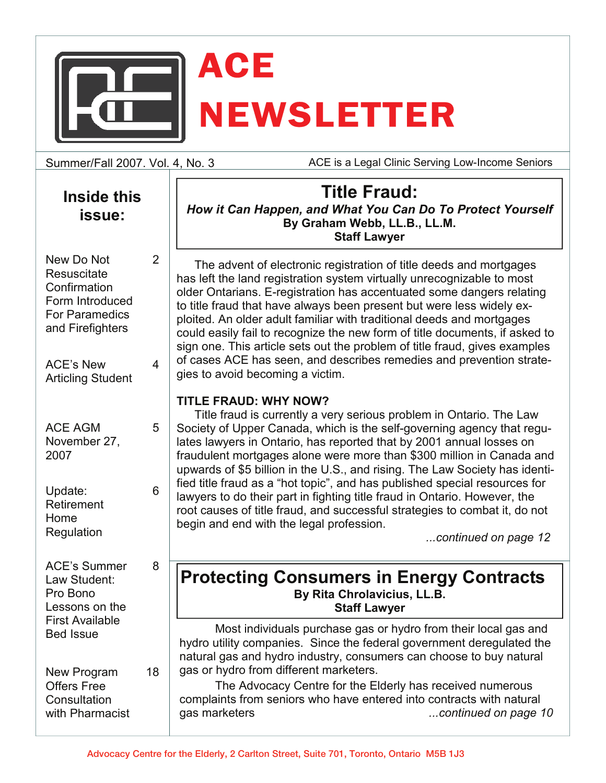

Summer/Fall 2007. Vol. 4, No. 3

2

4

5

6

8

18

ACE is a Legal Clinic Serving Low-Income Seniors

| <b>Inside this</b> |
|--------------------|
| issue:             |

New Do Not **Resuscitate Confirmation** Form Introduced For Paramedics and Firefighters

ACE's New Articling Student

| <b>ACE AGM</b> |  |
|----------------|--|
| November 27,   |  |
| 2007           |  |

Update: Retirement Home **Regulation** 

ACE's Summer Law Student: Pro Bono Lessons on the First Available Bed Issue

New Program Offers Free **Consultation** with Pharmacist

**Title Fraud:** *How it Can Happen, and What You Can Do To Protect Yourself*  **By Graham Webb, LL.B., LL.M. Staff Lawyer** 

The advent of electronic registration of title deeds and mortgages has left the land registration system virtually unrecognizable to most older Ontarians. E-registration has accentuated some dangers relating to title fraud that have always been present but were less widely exploited. An older adult familiar with traditional deeds and mortgages could easily fail to recognize the new form of title documents, if asked to sign one. This article sets out the problem of title fraud, gives examples of cases ACE has seen, and describes remedies and prevention strategies to avoid becoming a victim.

### **TITLE FRAUD: WHY NOW?**

Title fraud is currently a very serious problem in Ontario. The Law Society of Upper Canada, which is the self-governing agency that regulates lawyers in Ontario, has reported that by 2001 annual losses on fraudulent mortgages alone were more than \$300 million in Canada and upwards of \$5 billion in the U.S., and rising. The Law Society has identified title fraud as a "hot topic", and has published special resources for lawyers to do their part in fighting title fraud in Ontario. However, the root causes of title fraud, and successful strategies to combat it, do not begin and end with the legal profession.

*...continued on page 12* 

### **Protecting Consumers in Energy Contracts By Rita Chrolavicius, LL.B. Staff Lawyer**

 Most individuals purchase gas or hydro from their local gas and hydro utility companies. Since the federal government deregulated the natural gas and hydro industry, consumers can choose to buy natural gas or hydro from different marketers.

 The Advocacy Centre for the Elderly has received numerous complaints from seniors who have entered into contracts with natural gas marketers *...continued on page 10*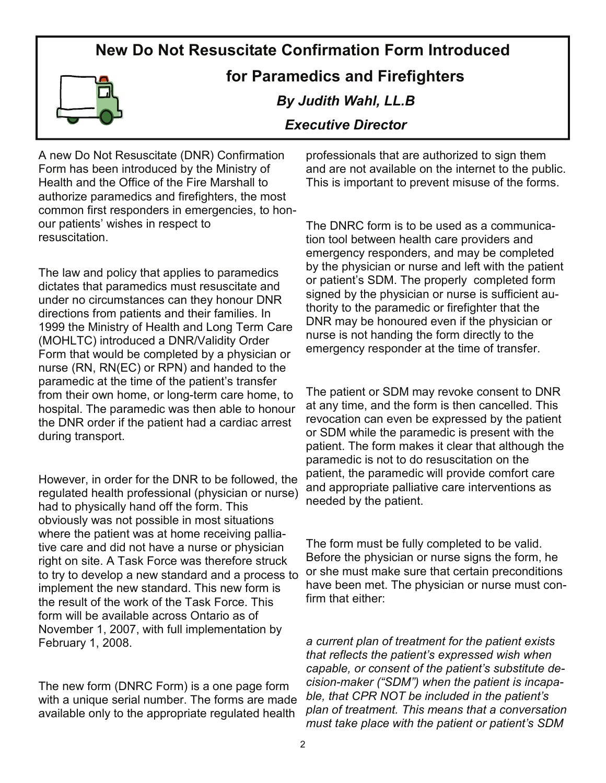### **New Do Not Resuscitate Confirmation Form Introduced**



### **for Paramedics and Firefighters**

### *By Judith Wahl, LL.B*

### *Executive Director*

A new Do Not Resuscitate (DNR) Confirmation Form has been introduced by the Ministry of Health and the Office of the Fire Marshall to authorize paramedics and firefighters, the most common first responders in emergencies, to honour patients' wishes in respect to resuscitation.

The law and policy that applies to paramedics dictates that paramedics must resuscitate and under no circumstances can they honour DNR directions from patients and their families. In 1999 the Ministry of Health and Long Term Care (MOHLTC) introduced a DNR/Validity Order Form that would be completed by a physician or nurse (RN, RN(EC) or RPN) and handed to the paramedic at the time of the patient's transfer from their own home, or long-term care home, to hospital. The paramedic was then able to honour the DNR order if the patient had a cardiac arrest during transport.

However, in order for the DNR to be followed, the regulated health professional (physician or nurse) had to physically hand off the form. This obviously was not possible in most situations where the patient was at home receiving palliative care and did not have a nurse or physician right on site. A Task Force was therefore struck to try to develop a new standard and a process to implement the new standard. This new form is the result of the work of the Task Force. This form will be available across Ontario as of November 1, 2007, with full implementation by February 1, 2008.

The new form (DNRC Form) is a one page form with a unique serial number. The forms are made available only to the appropriate regulated health

professionals that are authorized to sign them and are not available on the internet to the public. This is important to prevent misuse of the forms.

The DNRC form is to be used as a communication tool between health care providers and emergency responders, and may be completed by the physician or nurse and left with the patient or patient's SDM. The properly completed form signed by the physician or nurse is sufficient authority to the paramedic or firefighter that the DNR may be honoured even if the physician or nurse is not handing the form directly to the emergency responder at the time of transfer.

The patient or SDM may revoke consent to DNR at any time, and the form is then cancelled. This revocation can even be expressed by the patient or SDM while the paramedic is present with the patient. The form makes it clear that although the paramedic is not to do resuscitation on the patient, the paramedic will provide comfort care and appropriate palliative care interventions as needed by the patient.

The form must be fully completed to be valid. Before the physician or nurse signs the form, he or she must make sure that certain preconditions have been met. The physician or nurse must confirm that either:

*a current plan of treatment for the patient exists that reflects the patient's expressed wish when capable, or consent of the patient's substitute decision-maker ("SDM") when the patient is incapable, that CPR NOT be included in the patient's plan of treatment. This means that a conversation must take place with the patient or patient's SDM*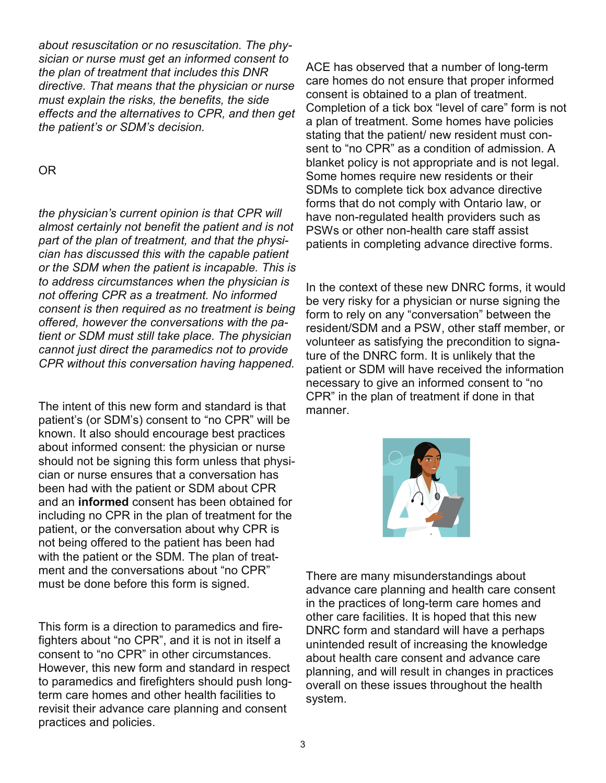*about resuscitation or no resuscitation. The physician or nurse must get an informed consent to the plan of treatment that includes this DNR directive. That means that the physician or nurse must explain the risks, the benefits, the side effects and the alternatives to CPR, and then get the patient's or SDM's decision.* 

### OR

*the physician's current opinion is that CPR will almost certainly not benefit the patient and is not part of the plan of treatment, and that the physician has discussed this with the capable patient or the SDM when the patient is incapable. This is to address circumstances when the physician is not offering CPR as a treatment. No informed consent is then required as no treatment is being offered, however the conversations with the patient or SDM must still take place. The physician cannot just direct the paramedics not to provide CPR without this conversation having happened.* 

The intent of this new form and standard is that patient's (or SDM's) consent to "no CPR" will be known. It also should encourage best practices about informed consent: the physician or nurse should not be signing this form unless that physician or nurse ensures that a conversation has been had with the patient or SDM about CPR and an **informed** consent has been obtained for including no CPR in the plan of treatment for the patient, or the conversation about why CPR is not being offered to the patient has been had with the patient or the SDM. The plan of treatment and the conversations about "no CPR" must be done before this form is signed.

This form is a direction to paramedics and firefighters about "no CPR", and it is not in itself a consent to "no CPR" in other circumstances. However, this new form and standard in respect to paramedics and firefighters should push longterm care homes and other health facilities to revisit their advance care planning and consent practices and policies.

ACE has observed that a number of long-term care homes do not ensure that proper informed consent is obtained to a plan of treatment. Completion of a tick box "level of care" form is not a plan of treatment. Some homes have policies stating that the patient/ new resident must consent to "no CPR" as a condition of admission. A blanket policy is not appropriate and is not legal. Some homes require new residents or their SDMs to complete tick box advance directive forms that do not comply with Ontario law, or have non-regulated health providers such as PSWs or other non-health care staff assist patients in completing advance directive forms.

In the context of these new DNRC forms, it would be very risky for a physician or nurse signing the form to rely on any "conversation" between the resident/SDM and a PSW, other staff member, or volunteer as satisfying the precondition to signature of the DNRC form. It is unlikely that the patient or SDM will have received the information necessary to give an informed consent to "no CPR" in the plan of treatment if done in that manner.



There are many misunderstandings about advance care planning and health care consent in the practices of long-term care homes and other care facilities. It is hoped that this new DNRC form and standard will have a perhaps unintended result of increasing the knowledge about health care consent and advance care planning, and will result in changes in practices overall on these issues throughout the health system.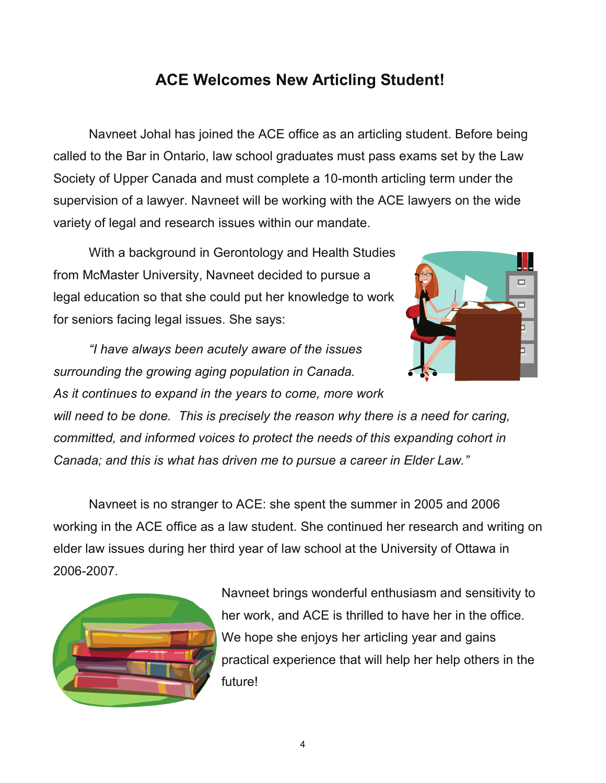## **ACE Welcomes New Articling Student!**

 Navneet Johal has joined the ACE office as an articling student. Before being called to the Bar in Ontario, law school graduates must pass exams set by the Law Society of Upper Canada and must complete a 10-month articling term under the supervision of a lawyer. Navneet will be working with the ACE lawyers on the wide variety of legal and research issues within our mandate.

 With a background in Gerontology and Health Studies from McMaster University, Navneet decided to pursue a legal education so that she could put her knowledge to work for seniors facing legal issues. She says:



*"I have always been acutely aware of the issues surrounding the growing aging population in Canada.* 

*As it continues to expand in the years to come, more work* 

*will need to be done. This is precisely the reason why there is a need for caring, committed, and informed voices to protect the needs of this expanding cohort in Canada; and this is what has driven me to pursue a career in Elder Law."* 

 Navneet is no stranger to ACE: she spent the summer in 2005 and 2006 working in the ACE office as a law student. She continued her research and writing on elder law issues during her third year of law school at the University of Ottawa in 2006-2007.



Navneet brings wonderful enthusiasm and sensitivity to her work, and ACE is thrilled to have her in the office. We hope she enjoys her articling year and gains practical experience that will help her help others in the future!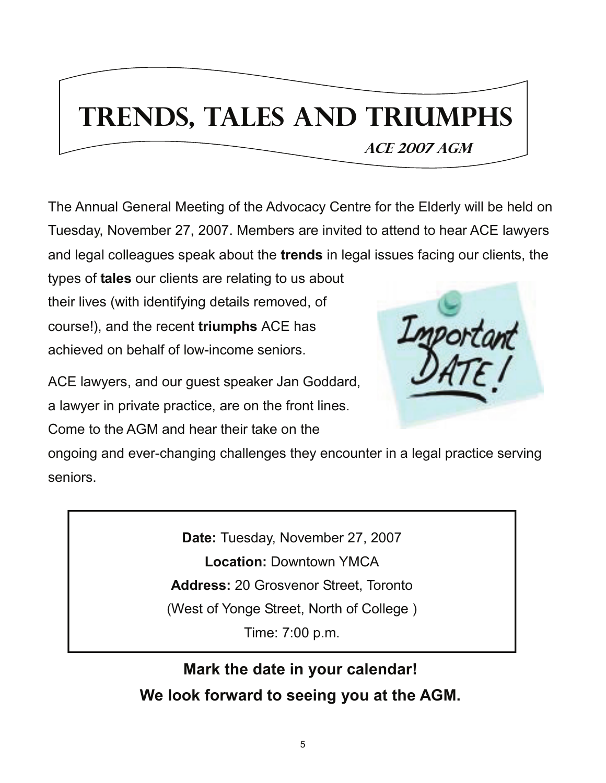# **Trends, Tales and Triumphs**

 **Ace 2007 AGM**

The Annual General Meeting of the Advocacy Centre for the Elderly will be held on Tuesday, November 27, 2007. Members are invited to attend to hear ACE lawyers and legal colleagues speak about the **trends** in legal issues facing our clients, the

types of **tales** our clients are relating to us about their lives (with identifying details removed, of course!), and the recent **triumphs** ACE has achieved on behalf of low-income seniors.



ACE lawyers, and our guest speaker Jan Goddard, a lawyer in private practice, are on the front lines.

Come to the AGM and hear their take on the

ongoing and ever-changing challenges they encounter in a legal practice serving seniors.

> **Date:** Tuesday, November 27, 2007 **Location:** Downtown YMCA **Address:** 20 Grosvenor Street, Toronto (West of Yonge Street, North of College ) Time: 7:00 p.m.

**Mark the date in your calendar! We look forward to seeing you at the AGM.**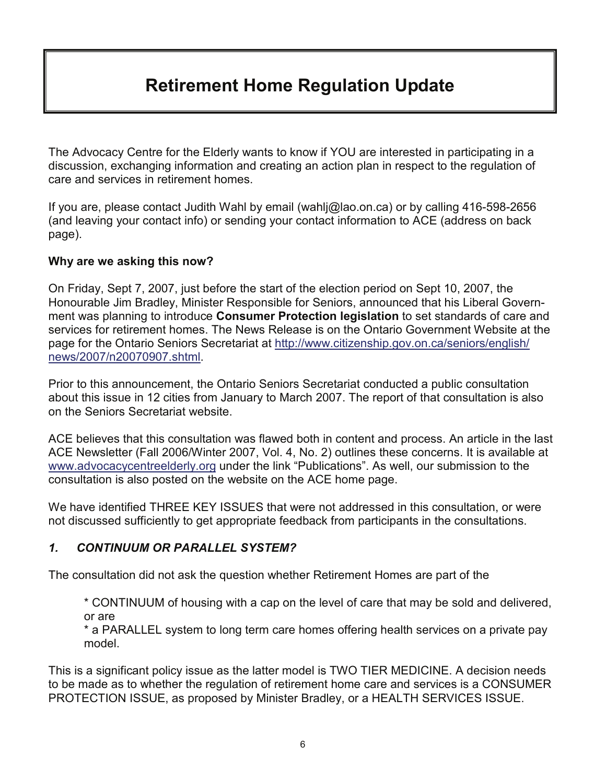## **Retirement Home Regulation Update**

The Advocacy Centre for the Elderly wants to know if YOU are interested in participating in a discussion, exchanging information and creating an action plan in respect to the regulation of care and services in retirement homes.

If you are, please contact Judith Wahl by email (wahlj@lao.on.ca) or by calling 416-598-2656 (and leaving your contact info) or sending your contact information to ACE (address on back page).

### **Why are we asking this now?**

On Friday, Sept 7, 2007, just before the start of the election period on Sept 10, 2007, the Honourable Jim Bradley, Minister Responsible for Seniors, announced that his Liberal Government was planning to introduce **Consumer Protection legislation** to set standards of care and services for retirement homes. The News Release is on the Ontario Government Website at the page for the Ontario Seniors Secretariat at http://www.citizenship.gov.on.ca/seniors/english/ news/2007/n20070907.shtml.

Prior to this announcement, the Ontario Seniors Secretariat conducted a public consultation about this issue in 12 cities from January to March 2007. The report of that consultation is also on the Seniors Secretariat website.

ACE believes that this consultation was flawed both in content and process. An article in the last ACE Newsletter (Fall 2006/Winter 2007, Vol. 4, No. 2) outlines these concerns. It is available at www.advocacycentreelderly.org under the link "Publications". As well, our submission to the consultation is also posted on the website on the ACE home page.

We have identified THREE KEY ISSUES that were not addressed in this consultation, or were not discussed sufficiently to get appropriate feedback from participants in the consultations.

### *1. CONTINUUM OR PARALLEL SYSTEM?*

The consultation did not ask the question whether Retirement Homes are part of the

\* CONTINUUM of housing with a cap on the level of care that may be sold and delivered, or are

\* a PARALLEL system to long term care homes offering health services on a private pay model.

This is a significant policy issue as the latter model is TWO TIER MEDICINE. A decision needs to be made as to whether the regulation of retirement home care and services is a CONSUMER PROTECTION ISSUE, as proposed by Minister Bradley, or a HEALTH SERVICES ISSUE.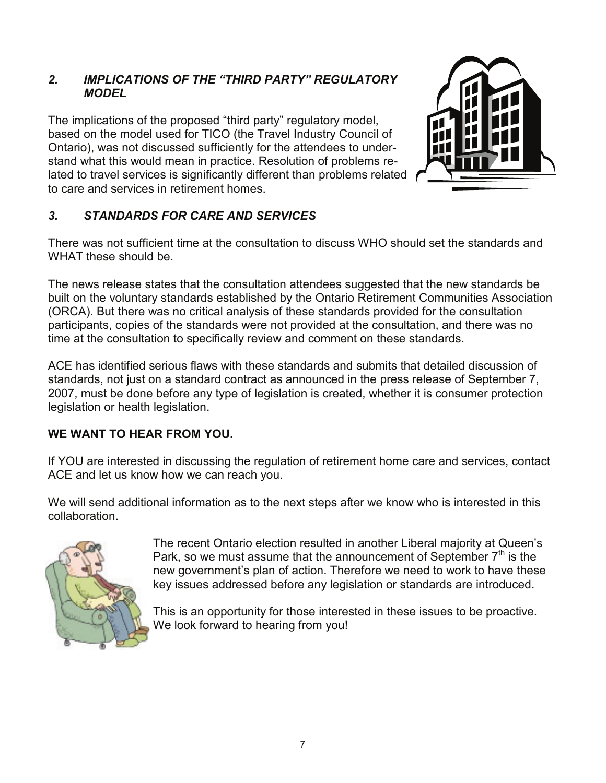### *2. IMPLICATIONS OF THE "THIRD PARTY" REGULATORY MODEL*

The implications of the proposed "third party" regulatory model, based on the model used for TICO (the Travel Industry Council of Ontario), was not discussed sufficiently for the attendees to understand what this would mean in practice. Resolution of problems related to travel services is significantly different than problems related to care and services in retirement homes.



### *3. STANDARDS FOR CARE AND SERVICES*

There was not sufficient time at the consultation to discuss WHO should set the standards and WHAT these should be.

The news release states that the consultation attendees suggested that the new standards be built on the voluntary standards established by the Ontario Retirement Communities Association (ORCA). But there was no critical analysis of these standards provided for the consultation participants, copies of the standards were not provided at the consultation, and there was no time at the consultation to specifically review and comment on these standards.

ACE has identified serious flaws with these standards and submits that detailed discussion of standards, not just on a standard contract as announced in the press release of September 7, 2007, must be done before any type of legislation is created, whether it is consumer protection legislation or health legislation.

### **WE WANT TO HEAR FROM YOU.**

If YOU are interested in discussing the regulation of retirement home care and services, contact ACE and let us know how we can reach you.

We will send additional information as to the next steps after we know who is interested in this collaboration.



The recent Ontario election resulted in another Liberal majority at Queen's Park, so we must assume that the announcement of September  $7<sup>th</sup>$  is the new government's plan of action. Therefore we need to work to have these key issues addressed before any legislation or standards are introduced.

This is an opportunity for those interested in these issues to be proactive. We look forward to hearing from you!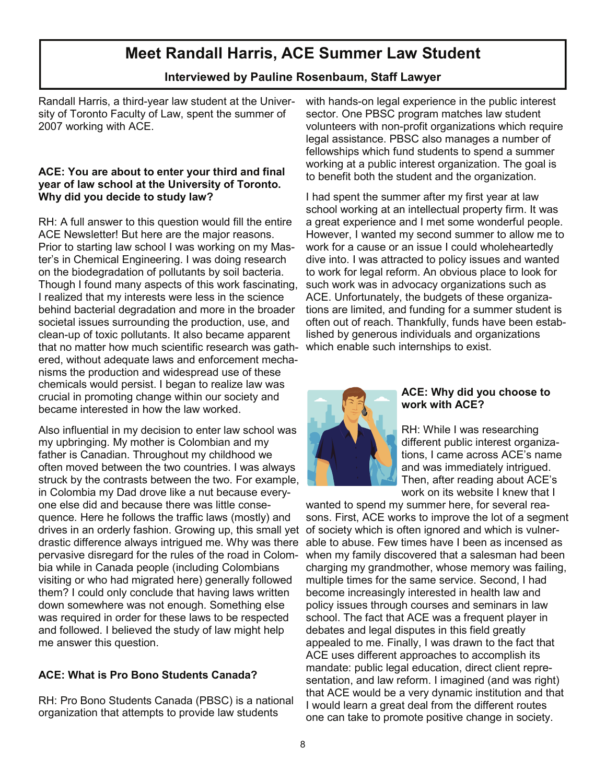### **Meet Randall Harris, ACE Summer Law Student**

### **Interviewed by Pauline Rosenbaum, Staff Lawyer**

Randall Harris, a third-year law student at the University of Toronto Faculty of Law, spent the summer of 2007 working with ACE.

### **ACE: You are about to enter your third and final year of law school at the University of Toronto. Why did you decide to study law?**

RH: A full answer to this question would fill the entire ACE Newsletter! But here are the major reasons. Prior to starting law school I was working on my Master's in Chemical Engineering. I was doing research on the biodegradation of pollutants by soil bacteria. Though I found many aspects of this work fascinating, I realized that my interests were less in the science behind bacterial degradation and more in the broader societal issues surrounding the production, use, and clean-up of toxic pollutants. It also became apparent that no matter how much scientific research was gathered, without adequate laws and enforcement mechanisms the production and widespread use of these chemicals would persist. I began to realize law was crucial in promoting change within our society and became interested in how the law worked.

Also influential in my decision to enter law school was my upbringing. My mother is Colombian and my father is Canadian. Throughout my childhood we often moved between the two countries. I was always struck by the contrasts between the two. For example, in Colombia my Dad drove like a nut because everyone else did and because there was little consequence. Here he follows the traffic laws (mostly) and drives in an orderly fashion. Growing up, this small yet of society which is often ignored and which is vulnerdrastic difference always intrigued me. Why was there pervasive disregard for the rules of the road in Colombia while in Canada people (including Colombians visiting or who had migrated here) generally followed them? I could only conclude that having laws written down somewhere was not enough. Something else was required in order for these laws to be respected and followed. I believed the study of law might help me answer this question.

### **ACE: What is Pro Bono Students Canada?**

RH: Pro Bono Students Canada (PBSC) is a national organization that attempts to provide law students

with hands-on legal experience in the public interest sector. One PBSC program matches law student volunteers with non-profit organizations which require legal assistance. PBSC also manages a number of fellowships which fund students to spend a summer working at a public interest organization. The goal is to benefit both the student and the organization.

I had spent the summer after my first year at law school working at an intellectual property firm. It was a great experience and I met some wonderful people. However, I wanted my second summer to allow me to work for a cause or an issue I could wholeheartedly dive into. I was attracted to policy issues and wanted to work for legal reform. An obvious place to look for such work was in advocacy organizations such as ACE. Unfortunately, the budgets of these organizations are limited, and funding for a summer student is often out of reach. Thankfully, funds have been established by generous individuals and organizations which enable such internships to exist.



#### **ACE: Why did you choose to work with ACE?**

RH: While I was researching different public interest organizations, I came across ACE's name and was immediately intrigued. Then, after reading about ACE's work on its website I knew that I

wanted to spend my summer here, for several reasons. First, ACE works to improve the lot of a segment able to abuse. Few times have I been as incensed as when my family discovered that a salesman had been charging my grandmother, whose memory was failing, multiple times for the same service. Second, I had become increasingly interested in health law and policy issues through courses and seminars in law school. The fact that ACE was a frequent player in debates and legal disputes in this field greatly appealed to me. Finally, I was drawn to the fact that ACE uses different approaches to accomplish its mandate: public legal education, direct client representation, and law reform. I imagined (and was right) that ACE would be a very dynamic institution and that I would learn a great deal from the different routes one can take to promote positive change in society.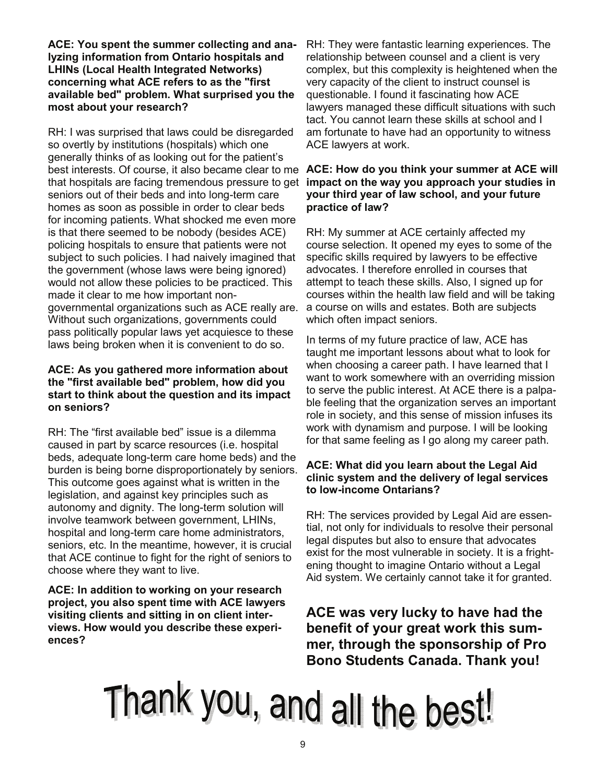**ACE: You spent the summer collecting and analyzing information from Ontario hospitals and LHINs (Local Health Integrated Networks) concerning what ACE refers to as the "first available bed" problem. What surprised you the most about your research?**

RH: I was surprised that laws could be disregarded so overtly by institutions (hospitals) which one generally thinks of as looking out for the patient's that hospitals are facing tremendous pressure to get **impact on the way you approach your studies in**  seniors out of their beds and into long-term care homes as soon as possible in order to clear beds for incoming patients. What shocked me even more is that there seemed to be nobody (besides ACE) policing hospitals to ensure that patients were not subject to such policies. I had naively imagined that the government (whose laws were being ignored) would not allow these policies to be practiced. This made it clear to me how important nongovernmental organizations such as ACE really are. Without such organizations, governments could pass politically popular laws yet acquiesce to these laws being broken when it is convenient to do so.

### **ACE: As you gathered more information about the "first available bed" problem, how did you start to think about the question and its impact on seniors?**

RH: The "first available bed" issue is a dilemma caused in part by scarce resources (i.e. hospital beds, adequate long-term care home beds) and the burden is being borne disproportionately by seniors. This outcome goes against what is written in the legislation, and against key principles such as autonomy and dignity. The long-term solution will involve teamwork between government, LHINs, hospital and long-term care home administrators, seniors, etc. In the meantime, however, it is crucial that ACE continue to fight for the right of seniors to choose where they want to live.

**ACE: In addition to working on your research project, you also spent time with ACE lawyers visiting clients and sitting in on client interviews. How would you describe these experiences?**

RH: They were fantastic learning experiences. The relationship between counsel and a client is very complex, but this complexity is heightened when the very capacity of the client to instruct counsel is questionable. I found it fascinating how ACE lawyers managed these difficult situations with such tact. You cannot learn these skills at school and I am fortunate to have had an opportunity to witness ACE lawyers at work.

### best interests. Of course, it also became clear to me **ACE: How do you think your summer at ACE will your third year of law school, and your future practice of law?**

RH: My summer at ACE certainly affected my course selection. It opened my eyes to some of the specific skills required by lawyers to be effective advocates. I therefore enrolled in courses that attempt to teach these skills. Also, I signed up for courses within the health law field and will be taking a course on wills and estates. Both are subjects which often impact seniors.

In terms of my future practice of law, ACE has taught me important lessons about what to look for when choosing a career path. I have learned that I want to work somewhere with an overriding mission to serve the public interest. At ACE there is a palpable feeling that the organization serves an important role in society, and this sense of mission infuses its work with dynamism and purpose. I will be looking for that same feeling as I go along my career path.

### **ACE: What did you learn about the Legal Aid clinic system and the delivery of legal services to low-income Ontarians?**

RH: The services provided by Legal Aid are essential, not only for individuals to resolve their personal legal disputes but also to ensure that advocates exist for the most vulnerable in society. It is a frightening thought to imagine Ontario without a Legal Aid system. We certainly cannot take it for granted.

**ACE was very lucky to have had the benefit of your great work this summer, through the sponsorship of Pro Bono Students Canada. Thank you!**

# Thank you, and all the best!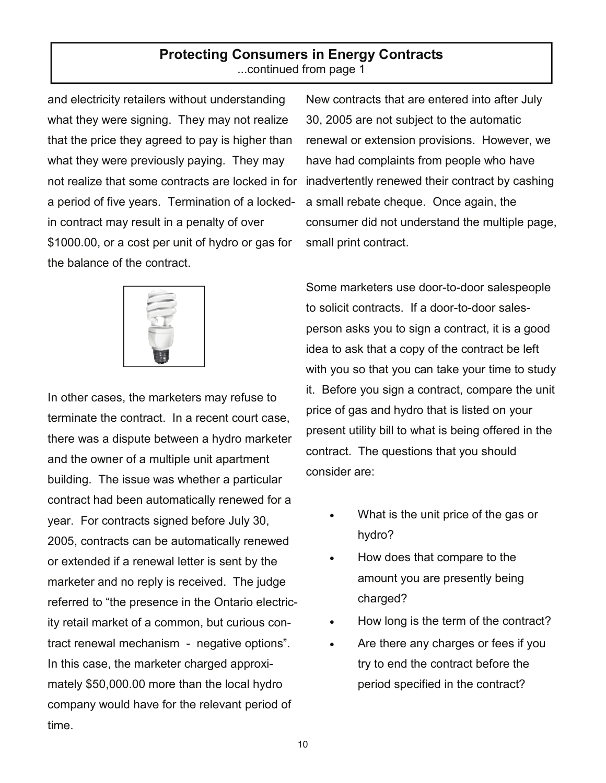### **Protecting Consumers in Energy Contracts**  ...continued from page 1

and electricity retailers without understanding what they were signing. They may not realize that the price they agreed to pay is higher than what they were previously paying. They may not realize that some contracts are locked in for a period of five years. Termination of a lockedin contract may result in a penalty of over \$1000.00, or a cost per unit of hydro or gas for the balance of the contract.



In other cases, the marketers may refuse to terminate the contract. In a recent court case, there was a dispute between a hydro marketer and the owner of a multiple unit apartment building. The issue was whether a particular contract had been automatically renewed for a year. For contracts signed before July 30, 2005, contracts can be automatically renewed or extended if a renewal letter is sent by the marketer and no reply is received. The judge referred to "the presence in the Ontario electricity retail market of a common, but curious contract renewal mechanism - negative options". In this case, the marketer charged approximately \$50,000.00 more than the local hydro company would have for the relevant period of time.

New contracts that are entered into after July 30, 2005 are not subject to the automatic renewal or extension provisions. However, we have had complaints from people who have inadvertently renewed their contract by cashing a small rebate cheque. Once again, the consumer did not understand the multiple page, small print contract.

Some marketers use door-to-door salespeople to solicit contracts. If a door-to-door salesperson asks you to sign a contract, it is a good idea to ask that a copy of the contract be left with you so that you can take your time to study it. Before you sign a contract, compare the unit price of gas and hydro that is listed on your present utility bill to what is being offered in the contract. The questions that you should consider are:

- What is the unit price of the gas or hydro?
- How does that compare to the amount you are presently being charged?
- How long is the term of the contract?
- Are there any charges or fees if you try to end the contract before the period specified in the contract?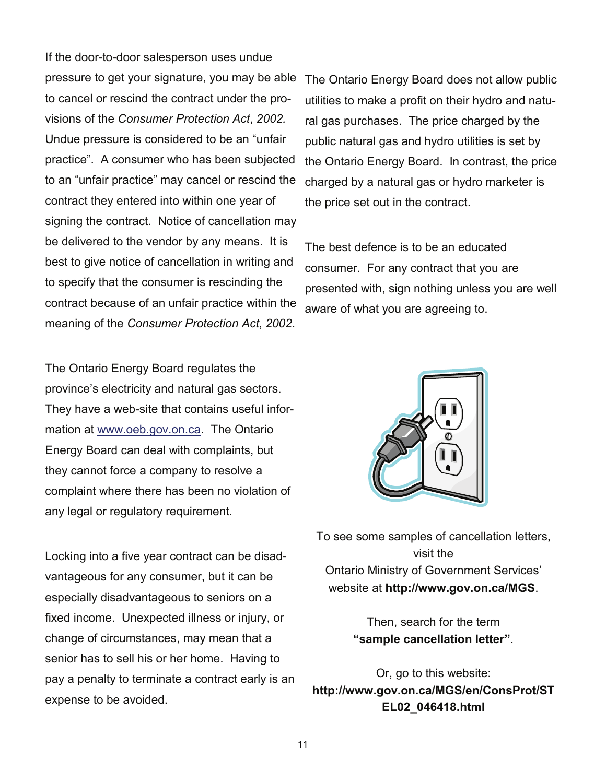If the door-to-door salesperson uses undue pressure to get your signature, you may be able to cancel or rescind the contract under the provisions of the *Consumer Protection Act*, *2002.* Undue pressure is considered to be an "unfair practice". A consumer who has been subjected to an "unfair practice" may cancel or rescind the contract they entered into within one year of signing the contract. Notice of cancellation may be delivered to the vendor by any means. It is best to give notice of cancellation in writing and to specify that the consumer is rescinding the contract because of an unfair practice within the meaning of the *Consumer Protection Act*, *2002*.

The Ontario Energy Board regulates the province's electricity and natural gas sectors. They have a web-site that contains useful information at www.oeb.gov.on.ca. The Ontario Energy Board can deal with complaints, but they cannot force a company to resolve a complaint where there has been no violation of any legal or regulatory requirement.

Locking into a five year contract can be disadvantageous for any consumer, but it can be especially disadvantageous to seniors on a fixed income. Unexpected illness or injury, or change of circumstances, may mean that a senior has to sell his or her home. Having to pay a penalty to terminate a contract early is an expense to be avoided.

The Ontario Energy Board does not allow public utilities to make a profit on their hydro and natural gas purchases. The price charged by the public natural gas and hydro utilities is set by the Ontario Energy Board. In contrast, the price charged by a natural gas or hydro marketer is the price set out in the contract.

The best defence is to be an educated consumer. For any contract that you are presented with, sign nothing unless you are well aware of what you are agreeing to.



To see some samples of cancellation letters, visit the Ontario Ministry of Government Services' website at **http://www.gov.on.ca/MGS**.

> Then, search for the term **"sample cancellation letter"**.

Or, go to this website: **http://www.gov.on.ca/MGS/en/ConsProt/ST EL02\_046418.html**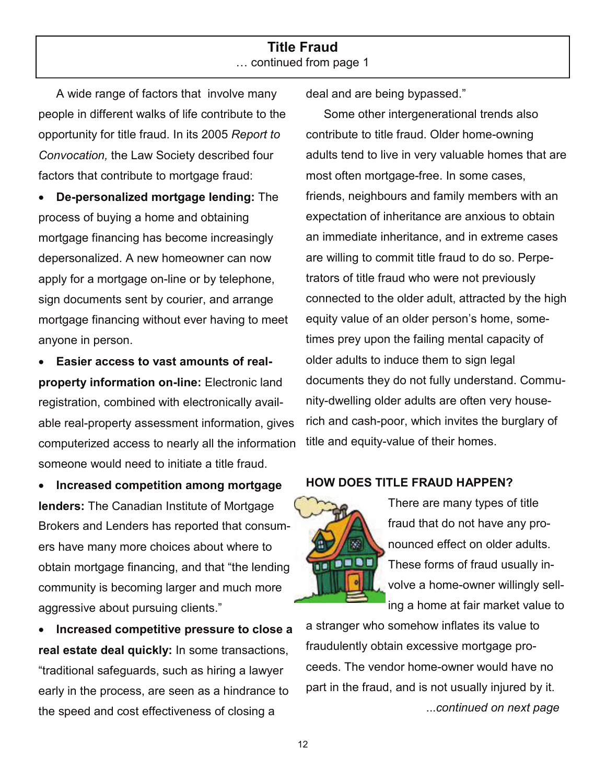### **Title Fraud**  … continued from page 1

A wide range of factors that involve many people in different walks of life contribute to the opportunity for title fraud. In its 2005 *Report to Convocation,* the Law Society described four factors that contribute to mortgage fraud:

• **De-personalized mortgage lending:** The process of buying a home and obtaining mortgage financing has become increasingly depersonalized. A new homeowner can now apply for a mortgage on-line or by telephone, sign documents sent by courier, and arrange mortgage financing without ever having to meet anyone in person.

• **Easier access to vast amounts of realproperty information on-line:** Electronic land registration, combined with electronically available real-property assessment information, gives computerized access to nearly all the information someone would need to initiate a title fraud.

• **Increased competition among mortgage lenders:** The Canadian Institute of Mortgage Brokers and Lenders has reported that consumers have many more choices about where to obtain mortgage financing, and that "the lending community is becoming larger and much more aggressive about pursuing clients."

• **Increased competitive pressure to close a real estate deal quickly:** In some transactions, "traditional safeguards, such as hiring a lawyer early in the process, are seen as a hindrance to the speed and cost effectiveness of closing a

deal and are being bypassed."

Some other intergenerational trends also contribute to title fraud. Older home-owning adults tend to live in very valuable homes that are most often mortgage-free. In some cases, friends, neighbours and family members with an expectation of inheritance are anxious to obtain an immediate inheritance, and in extreme cases are willing to commit title fraud to do so. Perpetrators of title fraud who were not previously connected to the older adult, attracted by the high equity value of an older person's home, sometimes prey upon the failing mental capacity of older adults to induce them to sign legal documents they do not fully understand. Community-dwelling older adults are often very houserich and cash-poor, which invites the burglary of title and equity-value of their homes.

### **HOW DOES TITLE FRAUD HAPPEN?**



There are many types of title fraud that do not have any pronounced effect on older adults. These forms of fraud usually involve a home-owner willingly selling a home at fair market value to

a stranger who somehow inflates its value to fraudulently obtain excessive mortgage proceeds. The vendor home-owner would have no part in the fraud, and is not usually injured by it. ...*continued on next page*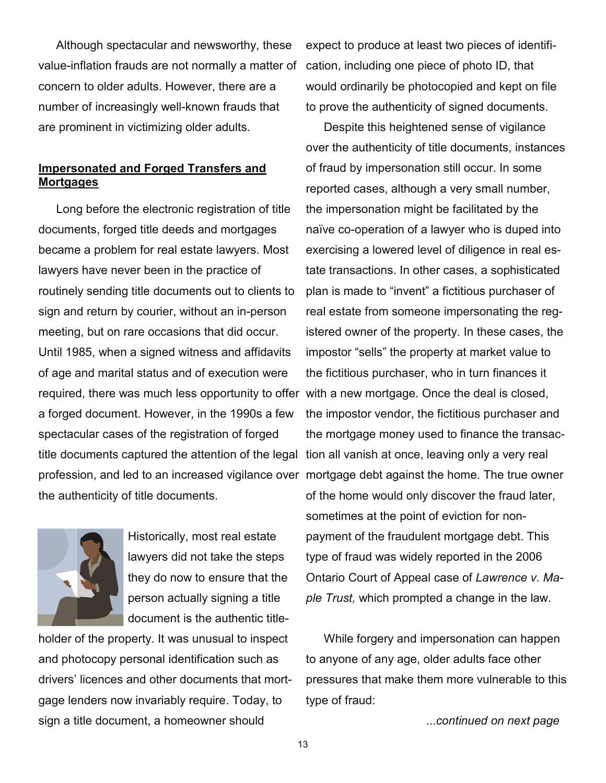Although spectacular and newsworthy, these value-inflation frauds are not normally a matter of concern to older adults. However, there are a number of increasingly well-known frauds that are prominent in victimizing older adults.

### **Impersonated and Forged Transfers and Mortgages**

Long before the electronic registration of title documents, forged title deeds and mortgages became a problem for real estate lawyers. Most lawyers have never been in the practice of routinely sending title documents out to clients to sign and return by courier, without an in-person meeting, but on rare occasions that did occur. Until 1985, when a signed witness and affidavits of age and marital status and of execution were required, there was much less opportunity to offer with a new mortgage. Once the deal is closed, a forged document. However, in the 1990s a few spectacular cases of the registration of forged title documents captured the attention of the legal tion all vanish at once, leaving only a very real the authenticity of title documents.



Historically, most real estate lawyers did not take the steps they do now to ensure that the person actually signing a title document is the authentic title-

holder of the property. It was unusual to inspect and photocopy personal identification such as drivers' licences and other documents that mortgage lenders now invariably require. Today, to sign a title document, a homeowner should

expect to produce at least two pieces of identification, including one piece of photo ID, that would ordinarily be photocopied and kept on file to prove the authenticity of signed documents.

profession, and led to an increased vigilance over mortgage debt against the home. The true owner Despite this heightened sense of vigilance over the authenticity of title documents, instances of fraud by impersonation still occur. In some reported cases, although a very small number, the impersonation might be facilitated by the naïve co-operation of a lawyer who is duped into exercising a lowered level of diligence in real estate transactions. In other cases, a sophisticated plan is made to "invent" a fictitious purchaser of real estate from someone impersonating the registered owner of the property. In these cases, the impostor "sells" the property at market value to the fictitious purchaser, who in turn finances it the impostor vendor, the fictitious purchaser and the mortgage money used to finance the transacof the home would only discover the fraud later, sometimes at the point of eviction for nonpayment of the fraudulent mortgage debt. This type of fraud was widely reported in the 2006 Ontario Court of Appeal case of *Lawrence v. Maple Trust,* which prompted a change in the law.

> While forgery and impersonation can happen to anyone of any age, older adults face other pressures that make them more vulnerable to this type of fraud:

> > ...*continued on next page*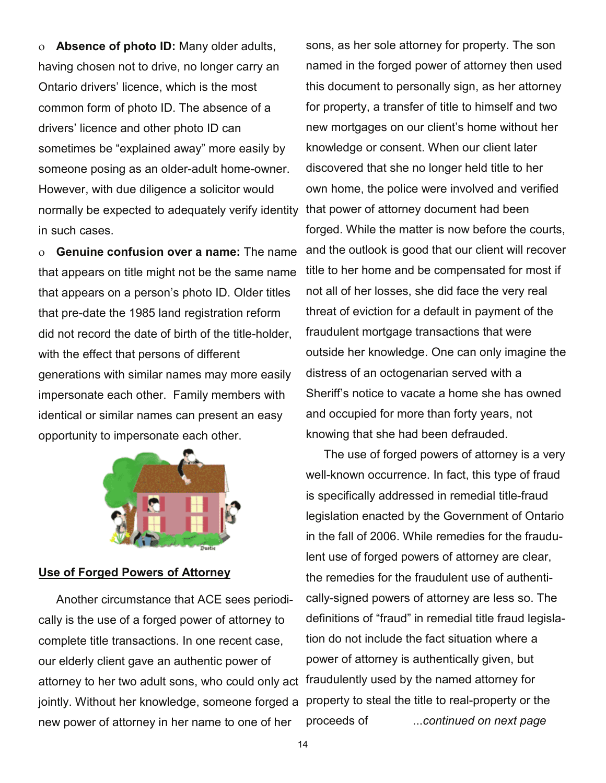ο **Absence of photo ID:** Many older adults, having chosen not to drive, no longer carry an Ontario drivers' licence, which is the most common form of photo ID. The absence of a drivers' licence and other photo ID can sometimes be "explained away" more easily by someone posing as an older-adult home-owner. However, with due diligence a solicitor would normally be expected to adequately verify identity in such cases.

ο **Genuine confusion over a name:** The name that appears on title might not be the same name that appears on a person's photo ID. Older titles that pre-date the 1985 land registration reform did not record the date of birth of the title-holder, with the effect that persons of different generations with similar names may more easily impersonate each other. Family members with identical or similar names can present an easy opportunity to impersonate each other.



### **Use of Forged Powers of Attorney**

Another circumstance that ACE sees periodically is the use of a forged power of attorney to complete title transactions. In one recent case, our elderly client gave an authentic power of attorney to her two adult sons, who could only act jointly. Without her knowledge, someone forged a property to steal the title to real-property or the new power of attorney in her name to one of her

sons, as her sole attorney for property. The son named in the forged power of attorney then used this document to personally sign, as her attorney for property, a transfer of title to himself and two new mortgages on our client's home without her knowledge or consent. When our client later discovered that she no longer held title to her own home, the police were involved and verified that power of attorney document had been forged. While the matter is now before the courts, and the outlook is good that our client will recover title to her home and be compensated for most if not all of her losses, she did face the very real threat of eviction for a default in payment of the fraudulent mortgage transactions that were outside her knowledge. One can only imagine the distress of an octogenarian served with a Sheriff's notice to vacate a home she has owned and occupied for more than forty years, not knowing that she had been defrauded.

The use of forged powers of attorney is a very well-known occurrence. In fact, this type of fraud is specifically addressed in remedial title-fraud legislation enacted by the Government of Ontario in the fall of 2006. While remedies for the fraudulent use of forged powers of attorney are clear, the remedies for the fraudulent use of authentically-signed powers of attorney are less so. The definitions of "fraud" in remedial title fraud legislation do not include the fact situation where a power of attorney is authentically given, but fraudulently used by the named attorney for proceeds of ...*continued on next page*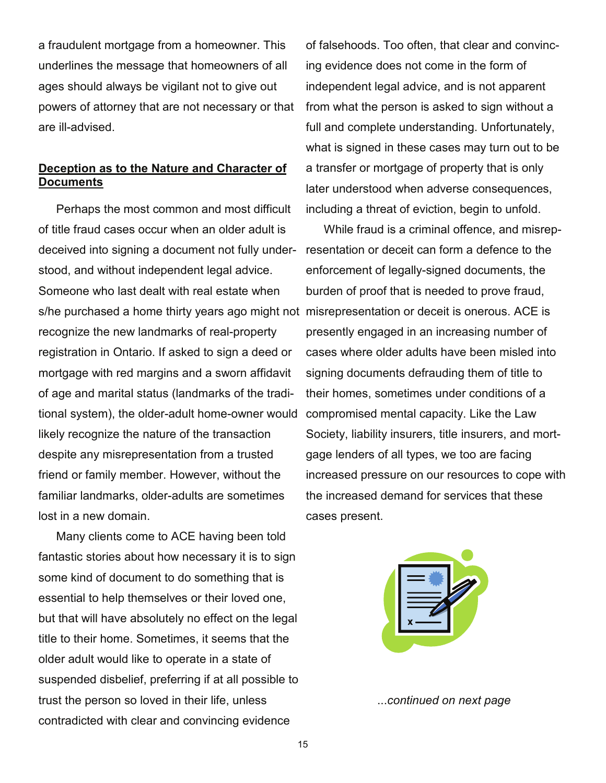a fraudulent mortgage from a homeowner. This underlines the message that homeowners of all ages should always be vigilant not to give out powers of attorney that are not necessary or that are ill-advised.

### **Deception as to the Nature and Character of Documents**

Perhaps the most common and most difficult of title fraud cases occur when an older adult is deceived into signing a document not fully understood, and without independent legal advice. Someone who last dealt with real estate when s/he purchased a home thirty years ago might not misrepresentation or deceit is onerous. ACE is recognize the new landmarks of real-property registration in Ontario. If asked to sign a deed or mortgage with red margins and a sworn affidavit of age and marital status (landmarks of the traditional system), the older-adult home-owner would likely recognize the nature of the transaction despite any misrepresentation from a trusted friend or family member. However, without the familiar landmarks, older-adults are sometimes lost in a new domain.

Many clients come to ACE having been told fantastic stories about how necessary it is to sign some kind of document to do something that is essential to help themselves or their loved one, but that will have absolutely no effect on the legal title to their home. Sometimes, it seems that the older adult would like to operate in a state of suspended disbelief, preferring if at all possible to trust the person so loved in their life, unless contradicted with clear and convincing evidence

of falsehoods. Too often, that clear and convincing evidence does not come in the form of independent legal advice, and is not apparent from what the person is asked to sign without a full and complete understanding. Unfortunately, what is signed in these cases may turn out to be a transfer or mortgage of property that is only later understood when adverse consequences, including a threat of eviction, begin to unfold.

While fraud is a criminal offence, and misrepresentation or deceit can form a defence to the enforcement of legally-signed documents, the burden of proof that is needed to prove fraud, presently engaged in an increasing number of cases where older adults have been misled into signing documents defrauding them of title to their homes, sometimes under conditions of a compromised mental capacity. Like the Law Society, liability insurers, title insurers, and mortgage lenders of all types, we too are facing increased pressure on our resources to cope with the increased demand for services that these cases present.



...*continued on next page*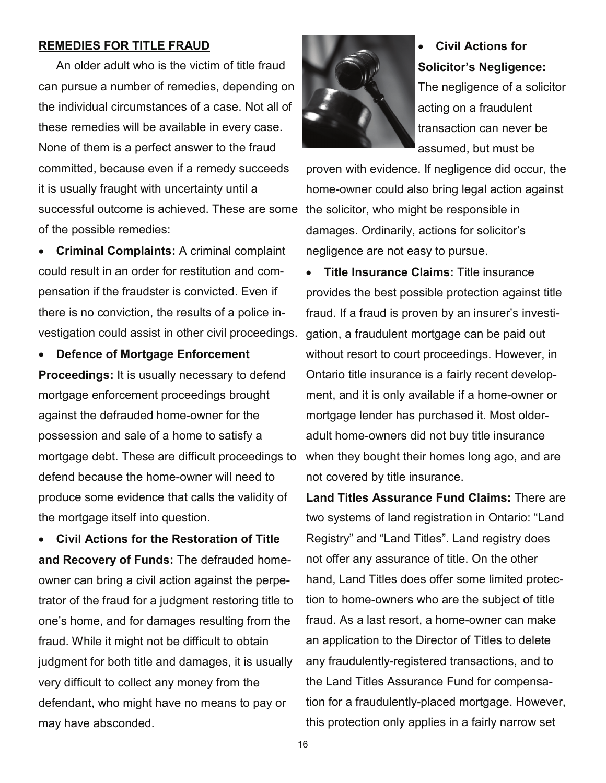### **REMEDIES FOR TITLE FRAUD**

An older adult who is the victim of title fraud can pursue a number of remedies, depending on the individual circumstances of a case. Not all of these remedies will be available in every case. None of them is a perfect answer to the fraud committed, because even if a remedy succeeds it is usually fraught with uncertainty until a successful outcome is achieved. These are some the solicitor, who might be responsible in of the possible remedies:

• **Criminal Complaints:** A criminal complaint could result in an order for restitution and compensation if the fraudster is convicted. Even if there is no conviction, the results of a police investigation could assist in other civil proceedings.

• **Defence of Mortgage Enforcement Proceedings:** It is usually necessary to defend mortgage enforcement proceedings brought against the defrauded home-owner for the possession and sale of a home to satisfy a mortgage debt. These are difficult proceedings to defend because the home-owner will need to produce some evidence that calls the validity of the mortgage itself into question.

• **Civil Actions for the Restoration of Title and Recovery of Funds:** The defrauded homeowner can bring a civil action against the perpetrator of the fraud for a judgment restoring title to one's home, and for damages resulting from the fraud. While it might not be difficult to obtain judgment for both title and damages, it is usually very difficult to collect any money from the defendant, who might have no means to pay or may have absconded.



• **Civil Actions for Solicitor's Negligence:**  The negligence of a solicitor acting on a fraudulent transaction can never be assumed, but must be

proven with evidence. If negligence did occur, the home-owner could also bring legal action against damages. Ordinarily, actions for solicitor's negligence are not easy to pursue.

• **Title Insurance Claims:** Title insurance provides the best possible protection against title fraud. If a fraud is proven by an insurer's investigation, a fraudulent mortgage can be paid out without resort to court proceedings. However, in Ontario title insurance is a fairly recent development, and it is only available if a home-owner or mortgage lender has purchased it. Most olderadult home-owners did not buy title insurance when they bought their homes long ago, and are not covered by title insurance.

**Land Titles Assurance Fund Claims:** There are two systems of land registration in Ontario: "Land Registry" and "Land Titles". Land registry does not offer any assurance of title. On the other hand, Land Titles does offer some limited protection to home-owners who are the subject of title fraud. As a last resort, a home-owner can make an application to the Director of Titles to delete any fraudulently-registered transactions, and to the Land Titles Assurance Fund for compensation for a fraudulently-placed mortgage. However, this protection only applies in a fairly narrow set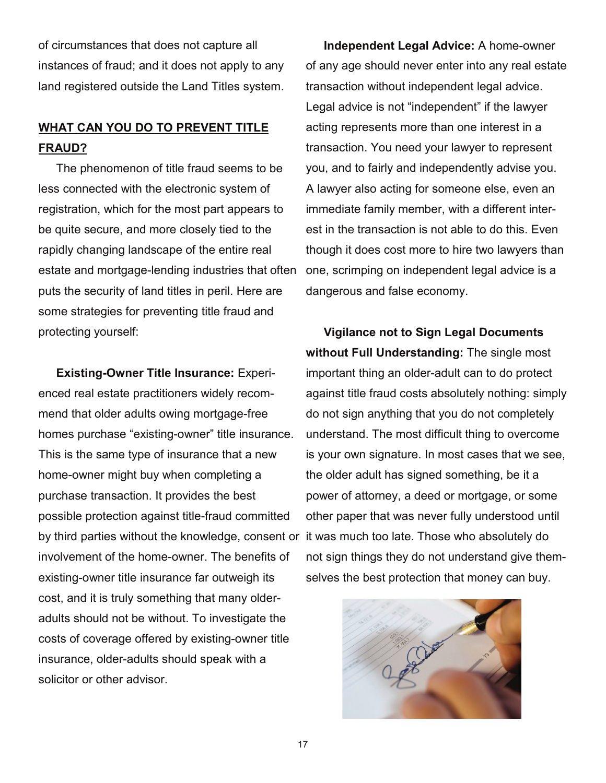of circumstances that does not capture all instances of fraud; and it does not apply to any land registered outside the Land Titles system.

### **WHAT CAN YOU DO TO PREVENT TITLE FRAUD?**

The phenomenon of title fraud seems to be less connected with the electronic system of registration, which for the most part appears to be quite secure, and more closely tied to the rapidly changing landscape of the entire real estate and mortgage-lending industries that often puts the security of land titles in peril. Here are some strategies for preventing title fraud and protecting yourself:

**Existing-Owner Title Insurance:** Experienced real estate practitioners widely recommend that older adults owing mortgage-free homes purchase "existing-owner" title insurance. This is the same type of insurance that a new home-owner might buy when completing a purchase transaction. It provides the best possible protection against title-fraud committed by third parties without the knowledge, consent or it was much too late. Those who absolutely do involvement of the home-owner. The benefits of existing-owner title insurance far outweigh its cost, and it is truly something that many olderadults should not be without. To investigate the costs of coverage offered by existing-owner title insurance, older-adults should speak with a solicitor or other advisor.

**Independent Legal Advice:** A home-owner of any age should never enter into any real estate transaction without independent legal advice. Legal advice is not "independent" if the lawyer acting represents more than one interest in a transaction. You need your lawyer to represent you, and to fairly and independently advise you. A lawyer also acting for someone else, even an immediate family member, with a different interest in the transaction is not able to do this. Even though it does cost more to hire two lawyers than one, scrimping on independent legal advice is a dangerous and false economy.

**Vigilance not to Sign Legal Documents without Full Understanding:** The single most important thing an older-adult can to do protect against title fraud costs absolutely nothing: simply do not sign anything that you do not completely understand. The most difficult thing to overcome is your own signature. In most cases that we see, the older adult has signed something, be it a power of attorney, a deed or mortgage, or some other paper that was never fully understood until not sign things they do not understand give themselves the best protection that money can buy.

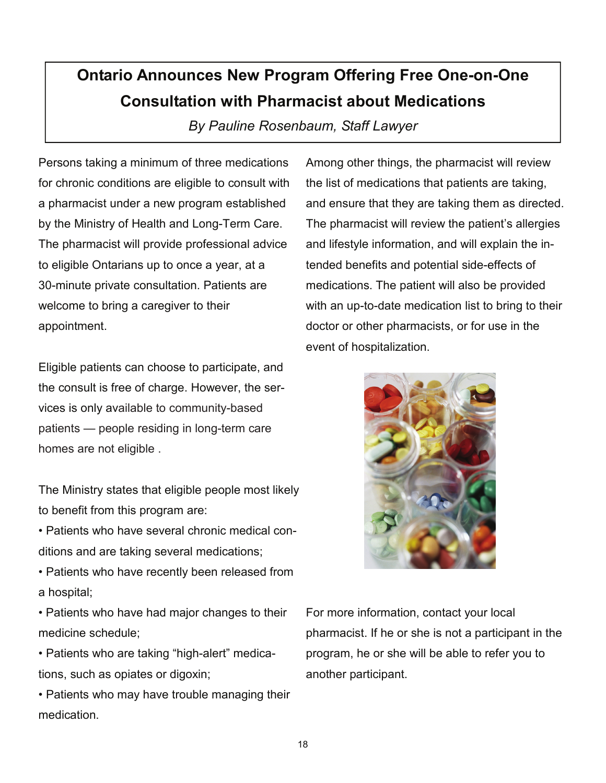## **Ontario Announces New Program Offering Free One-on-One Consultation with Pharmacist about Medications**

*By Pauline Rosenbaum, Staff Lawyer* 

Persons taking a minimum of three medications for chronic conditions are eligible to consult with a pharmacist under a new program established by the Ministry of Health and Long-Term Care. The pharmacist will provide professional advice to eligible Ontarians up to once a year, at a 30-minute private consultation. Patients are welcome to bring a caregiver to their appointment.

Eligible patients can choose to participate, and the consult is free of charge. However, the services is only available to community-based patients — people residing in long-term care homes are not eligible .

The Ministry states that eligible people most likely to benefit from this program are:

• Patients who have several chronic medical conditions and are taking several medications;

• Patients who have recently been released from a hospital;

• Patients who have had major changes to their medicine schedule;

• Patients who are taking "high-alert" medications, such as opiates or digoxin;

• Patients who may have trouble managing their medication.

Among other things, the pharmacist will review the list of medications that patients are taking, and ensure that they are taking them as directed. The pharmacist will review the patient's allergies and lifestyle information, and will explain the intended benefits and potential side-effects of medications. The patient will also be provided with an up-to-date medication list to bring to their doctor or other pharmacists, or for use in the event of hospitalization.



For more information, contact your local pharmacist. If he or she is not a participant in the program, he or she will be able to refer you to another participant.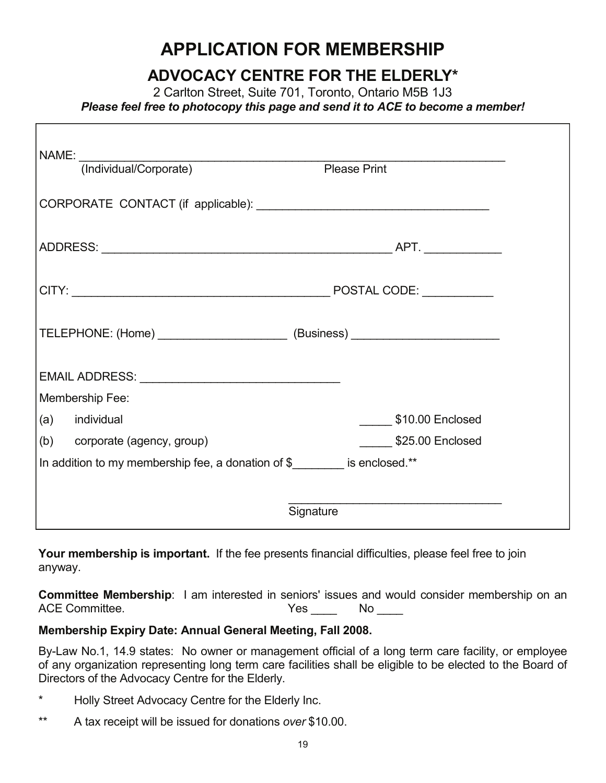## **APPLICATION FOR MEMBERSHIP**

## **ADVOCACY CENTRE FOR THE ELDERLY\***

2 Carlton Street, Suite 701, Toronto, Ontario M5B 1J3 *Please feel free to photocopy this page and send it to ACE to become a member!* 

| NAME:                                                                            |                                                                                                                                                                                                                                |                     |  |  |
|----------------------------------------------------------------------------------|--------------------------------------------------------------------------------------------------------------------------------------------------------------------------------------------------------------------------------|---------------------|--|--|
|                                                                                  | (Individual/Corporate)                                                                                                                                                                                                         | <b>Please Print</b> |  |  |
|                                                                                  |                                                                                                                                                                                                                                |                     |  |  |
|                                                                                  |                                                                                                                                                                                                                                |                     |  |  |
|                                                                                  |                                                                                                                                                                                                                                |                     |  |  |
| TELEPHONE: (Home) ____________________________(Business) _______________________ |                                                                                                                                                                                                                                |                     |  |  |
|                                                                                  | EMAIL ADDRESS: University of the state of the state of the state of the state of the state of the state of the state of the state of the state of the state of the state of the state of the state of the state of the state o |                     |  |  |
| Membership Fee:                                                                  |                                                                                                                                                                                                                                |                     |  |  |
|                                                                                  | (a) individual                                                                                                                                                                                                                 | $$10.00$ Enclosed   |  |  |
|                                                                                  | (b) corporate (agency, group)                                                                                                                                                                                                  | $$25.00$ Enclosed   |  |  |
| In addition to my membership fee, a donation of \$                               |                                                                                                                                                                                                                                |                     |  |  |
|                                                                                  |                                                                                                                                                                                                                                |                     |  |  |
| Signature                                                                        |                                                                                                                                                                                                                                |                     |  |  |

**Your membership is important.** If the fee presents financial difficulties, please feel free to join anyway.

**Committee Membership**: I am interested in seniors' issues and would consider membership on an ACE Committee. The set of the Second Second Vescond No. 2014

### **Membership Expiry Date: Annual General Meeting, Fall 2008.**

By-Law No.1, 14.9 states: No owner or management official of a long term care facility, or employee of any organization representing long term care facilities shall be eligible to be elected to the Board of Directors of the Advocacy Centre for the Elderly.

- \* Holly Street Advocacy Centre for the Elderly Inc.
- \*\* A tax receipt will be issued for donations *over* \$10.00.